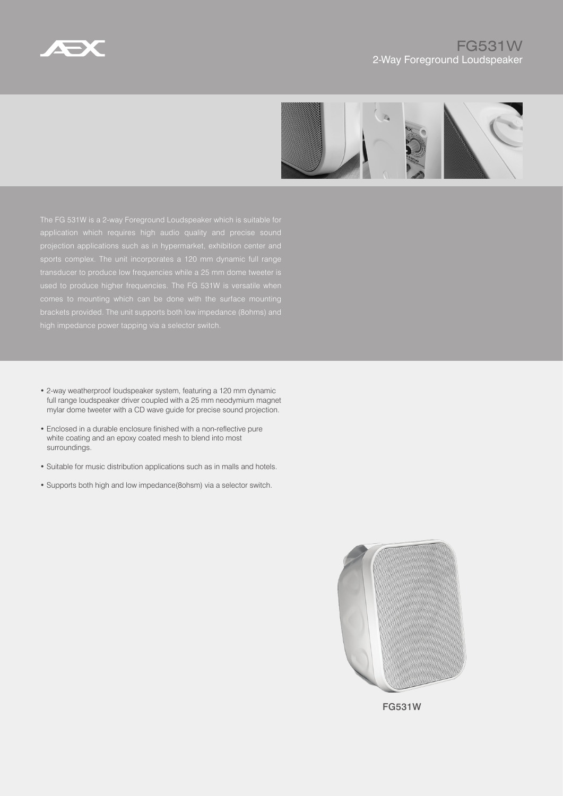



- 2-way weatherproof loudspeaker system, featuring a 120 mm dynamic full range loudspeaker driver coupled with a 25 mm neodymium magnet mylar dome tweeter with a CD wave guide for precise sound projection.
- Enclosed in a durable enclosure finished with a non-reflective pure white coating and an epoxy coated mesh to blend into most surroundings.
- Suitable for music distribution applications such as in malls and hotels.
- Supports both high and low impedance(8ohsm) via a selector switch.



FG531W